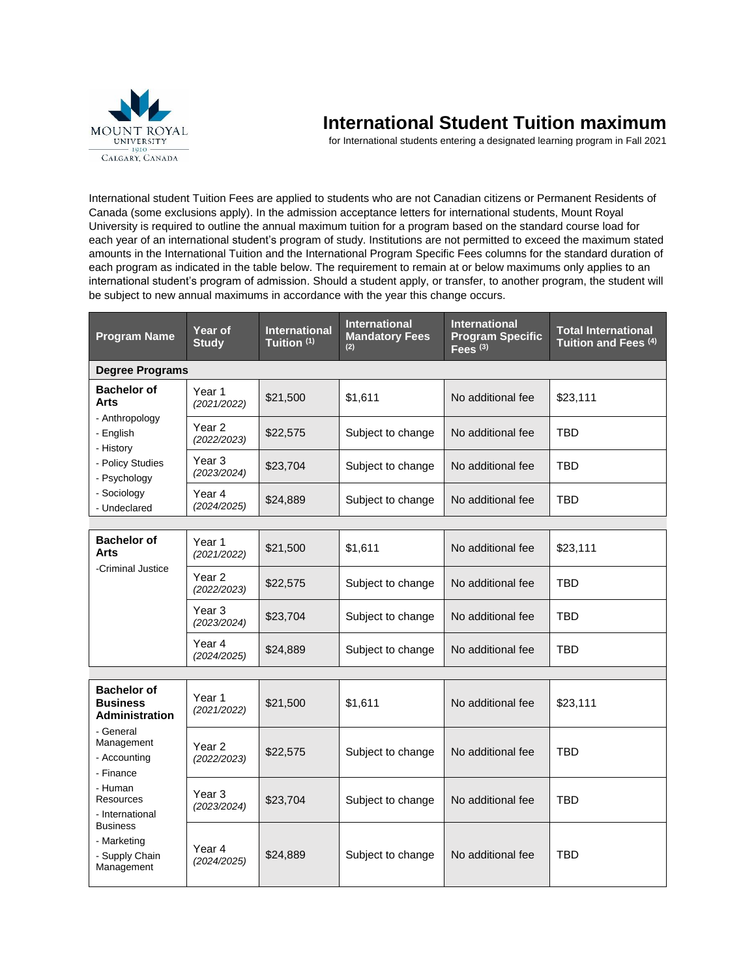

## **International Student Tuition maximum**

for International students entering a designated learning program in Fall 2021

International student Tuition Fees are applied to students who are not Canadian citizens or Permanent Residents of Canada (some exclusions apply). In the admission acceptance letters for international students, Mount Royal University is required to outline the annual maximum tuition for a program based on the standard course load for each year of an international student's program of study. Institutions are not permitted to exceed the maximum stated amounts in the International Tuition and the International Program Specific Fees columns for the standard duration of each program as indicated in the table below. The requirement to remain at or below maximums only applies to an international student's program of admission. Should a student apply, or transfer, to another program, the student will be subject to new annual maximums in accordance with the year this change occurs.

| <b>Program Name</b>                                                                                    | Year of<br><b>Study</b>          | <b>International</b><br>Tuition <sup>(1)</sup> | <b>International</b><br><b>Mandatory Fees</b><br>(2) | <b>International</b><br><b>Program Specific</b><br>Fees $(3)$ | <b>Total International</b><br>Tuition and Fees (4) |
|--------------------------------------------------------------------------------------------------------|----------------------------------|------------------------------------------------|------------------------------------------------------|---------------------------------------------------------------|----------------------------------------------------|
| <b>Degree Programs</b>                                                                                 |                                  |                                                |                                                      |                                                               |                                                    |
| <b>Bachelor of</b><br>Arts                                                                             | Year 1<br>(2021/2022)            | \$21,500                                       | \$1,611                                              | No additional fee                                             | \$23,111                                           |
| - Anthropology<br>- English<br>- History                                                               | Year 2<br>(2022/2023)            | \$22,575                                       | Subject to change                                    | No additional fee                                             | <b>TBD</b>                                         |
| - Policy Studies<br>- Psychology                                                                       | Year 3<br>(2023/2024)            | \$23,704                                       | Subject to change                                    | No additional fee                                             | TBD                                                |
| - Sociology<br>- Undeclared                                                                            | Year 4<br>(2024/2025)            | \$24,889                                       | Subject to change                                    | No additional fee                                             | TBD                                                |
|                                                                                                        |                                  |                                                |                                                      |                                                               |                                                    |
| <b>Bachelor of</b><br>Arts                                                                             | Year 1<br>(2021/2022)            | \$21,500                                       | \$1,611                                              | No additional fee                                             | \$23,111                                           |
| -Criminal Justice                                                                                      | Year <sub>2</sub><br>(2022/2023) | \$22,575                                       | Subject to change                                    | No additional fee                                             | TBD                                                |
|                                                                                                        | Year 3<br>(2023/2024)            | \$23,704                                       | Subject to change                                    | No additional fee                                             | TBD                                                |
|                                                                                                        | Year 4<br>(2024/2025)            | \$24,889                                       | Subject to change                                    | No additional fee                                             | TBD                                                |
|                                                                                                        |                                  |                                                |                                                      |                                                               |                                                    |
| <b>Bachelor of</b><br><b>Business</b><br><b>Administration</b>                                         | Year 1<br>(2021/2022)            | \$21,500                                       | \$1,611                                              | No additional fee                                             | \$23,111                                           |
| - General<br>Management<br>- Accounting<br>- Finance<br>- Human<br><b>Resources</b><br>- International | Year 2<br>(2022/2023)            | \$22,575                                       | Subject to change                                    | No additional fee                                             | <b>TBD</b>                                         |
|                                                                                                        | Year 3<br>(2023/2024)            | \$23,704                                       | Subject to change                                    | No additional fee                                             | TBD                                                |
| <b>Business</b><br>- Marketing<br>- Supply Chain<br>Management                                         | Year 4<br>(2024/2025)            | \$24,889                                       | Subject to change                                    | No additional fee                                             | <b>TBD</b>                                         |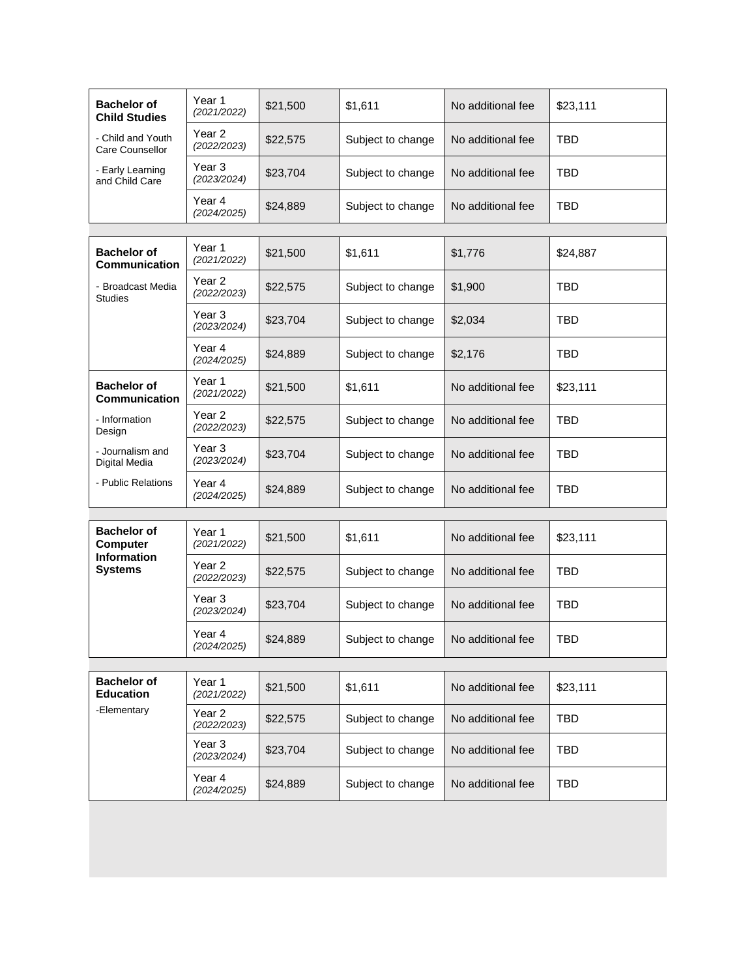| <b>Bachelor of</b><br><b>Child Studies</b> | Year 1<br>(2021/2022)            | \$21,500 | \$1,611           | No additional fee | \$23,111   |
|--------------------------------------------|----------------------------------|----------|-------------------|-------------------|------------|
| - Child and Youth<br>Care Counsellor       | Year <sub>2</sub><br>(2022/2023) | \$22,575 | Subject to change | No additional fee | <b>TBD</b> |
| - Early Learning<br>and Child Care         | Year 3<br>(2023/2024)            | \$23,704 | Subject to change | No additional fee | <b>TBD</b> |
|                                            | Year 4<br>(2024/2025)            | \$24,889 | Subject to change | No additional fee | <b>TBD</b> |
|                                            |                                  |          |                   |                   |            |
| <b>Bachelor of</b><br>Communication        | Year 1<br>(2021/2022)            | \$21,500 | \$1,611           | \$1,776           | \$24,887   |
| - Broadcast Media<br><b>Studies</b>        | Year 2<br>(2022/2023)            | \$22,575 | Subject to change | \$1,900           | <b>TBD</b> |
|                                            | Year 3<br>(2023/2024)            | \$23,704 | Subject to change | \$2,034           | <b>TBD</b> |
|                                            | Year 4<br>(2024/2025)            | \$24,889 | Subject to change | \$2,176           | <b>TBD</b> |
| <b>Bachelor of</b><br>Communication        | Year 1<br>(2021/2022)            | \$21,500 | \$1,611           | No additional fee | \$23,111   |
| - Information<br>Design                    | Year <sub>2</sub><br>(2022/2023) | \$22,575 | Subject to change | No additional fee | <b>TBD</b> |
| - Journalism and<br>Digital Media          | Year 3<br>(2023/2024)            | \$23,704 | Subject to change | No additional fee | <b>TBD</b> |
| - Public Relations                         | Year 4<br>(2024/2025)            | \$24,889 | Subject to change | No additional fee | <b>TBD</b> |
|                                            |                                  |          |                   |                   |            |
| <b>Bachelor of</b><br><b>Computer</b>      | Year 1<br>(2021/2022)            | \$21,500 | \$1,611           | No additional fee | \$23,111   |
| <b>Information</b><br><b>Systems</b>       | Year <sub>2</sub><br>(2022/2023) | \$22,575 | Subject to change | No additional fee | <b>TBD</b> |
|                                            | Year <sub>3</sub><br>(2023/2024) | \$23,704 | Subject to change | No additional fee | <b>TBD</b> |
|                                            | Year 4<br>(2024/2025)            | \$24,889 | Subject to change | No additional fee | <b>TBD</b> |
|                                            |                                  |          |                   |                   |            |
| <b>Bachelor of</b><br><b>Education</b>     | Year 1<br>(2021/2022)            | \$21,500 | \$1,611           | No additional fee | \$23,111   |
| -Elementary                                | Year 2<br>(2022/2023)            | \$22,575 | Subject to change | No additional fee | <b>TBD</b> |
|                                            | Year 3<br>(2023/2024)            | \$23,704 | Subject to change | No additional fee | <b>TBD</b> |
|                                            | Year 4<br>(2024/2025)            | \$24,889 | Subject to change | No additional fee | <b>TBD</b> |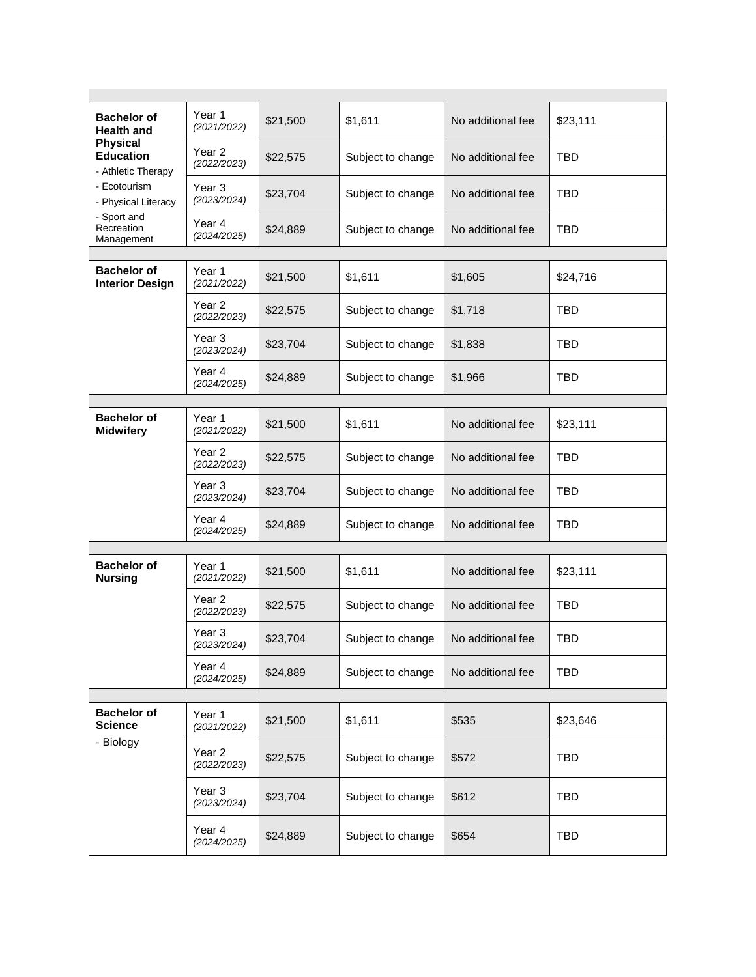| <b>Bachelor of</b><br><b>Health and</b>                   | Year 1<br>(2021/2022)            | \$21,500 | \$1,611           | No additional fee | \$23,111   |
|-----------------------------------------------------------|----------------------------------|----------|-------------------|-------------------|------------|
| <b>Physical</b><br><b>Education</b><br>- Athletic Therapy | Year <sub>2</sub><br>(2022/2023) | \$22,575 | Subject to change | No additional fee | <b>TBD</b> |
| - Ecotourism<br>- Physical Literacy                       | Year <sub>3</sub><br>(2023/2024) | \$23,704 | Subject to change | No additional fee | <b>TBD</b> |
| - Sport and<br>Recreation<br>Management                   | Year 4<br>(2024/2025)            | \$24,889 | Subject to change | No additional fee | <b>TBD</b> |
|                                                           |                                  |          |                   |                   |            |
| <b>Bachelor of</b><br><b>Interior Design</b>              | Year 1<br>(2021/2022)            | \$21,500 | \$1,611           | \$1,605           | \$24,716   |
|                                                           | Year <sub>2</sub><br>(2022/2023) | \$22,575 | Subject to change | \$1,718           | TBD        |
|                                                           | Year 3<br>(2023/2024)            | \$23,704 | Subject to change | \$1,838           | <b>TBD</b> |
|                                                           | Year 4<br>(2024/2025)            | \$24,889 | Subject to change | \$1,966           | TBD        |
|                                                           |                                  |          |                   |                   |            |
| <b>Bachelor of</b><br><b>Midwifery</b>                    | Year 1<br>(2021/2022)            | \$21,500 | \$1,611           | No additional fee | \$23,111   |
|                                                           | Year <sub>2</sub><br>(2022/2023) | \$22,575 | Subject to change | No additional fee | <b>TBD</b> |
|                                                           | Year <sub>3</sub><br>(2023/2024) | \$23,704 | Subject to change | No additional fee | <b>TBD</b> |
|                                                           | Year 4<br>(2024/2025)            | \$24,889 | Subject to change | No additional fee | <b>TBD</b> |
|                                                           |                                  |          |                   |                   |            |
| <b>Bachelor of</b><br><b>Nursing</b>                      | Year 1<br>(2021/2022)            | \$21,500 | \$1,611           | No additional fee | \$23,111   |
|                                                           | Year <sub>2</sub><br>(2022/2023) | \$22,575 | Subject to change | No additional fee | <b>TBD</b> |
|                                                           | Year <sub>3</sub><br>(2023/2024) | \$23,704 | Subject to change | No additional fee | <b>TBD</b> |
|                                                           | Year 4<br>(2024/2025)            | \$24,889 | Subject to change | No additional fee | <b>TBD</b> |
|                                                           |                                  |          |                   |                   |            |
| <b>Bachelor of</b><br><b>Science</b><br>- Biology         | Year 1<br>(2021/2022)            | \$21,500 | \$1,611           | \$535             | \$23,646   |
|                                                           | Year 2<br>(2022/2023)            | \$22,575 | Subject to change | \$572             | <b>TBD</b> |
|                                                           | Year 3<br>(2023/2024)            | \$23,704 | Subject to change | \$612             | <b>TBD</b> |
|                                                           | Year 4<br>(2024/2025)            | \$24,889 | Subject to change | \$654             | <b>TBD</b> |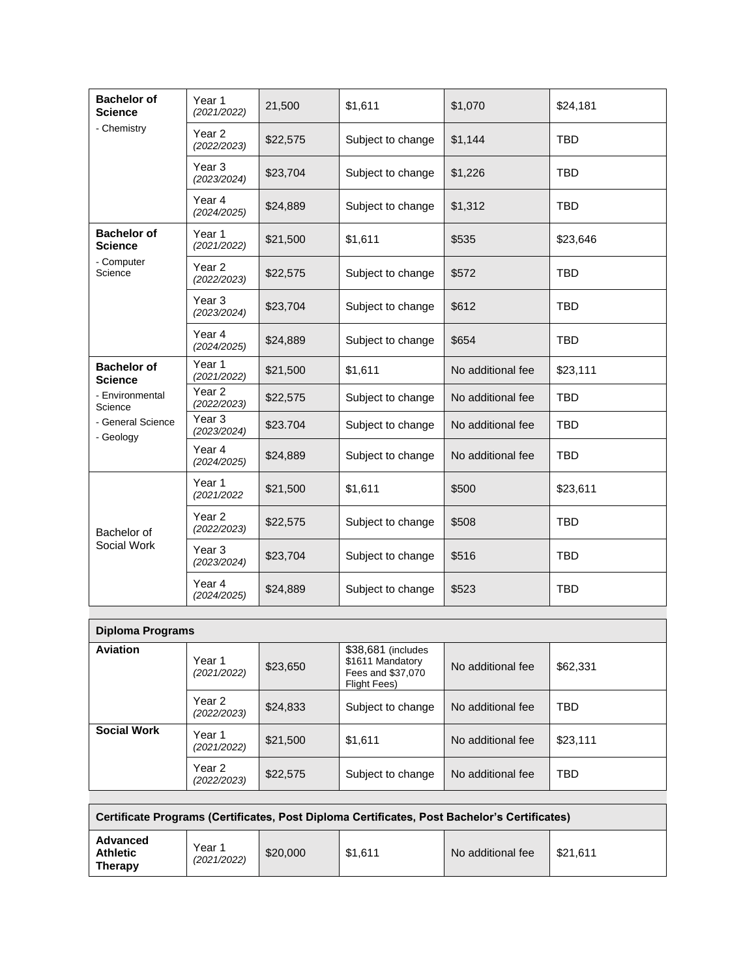| <b>Bachelor of</b><br><b>Science</b> | Year 1<br>(2021/2022)            | 21,500   | \$1,611           | \$1,070           | \$24,181   |
|--------------------------------------|----------------------------------|----------|-------------------|-------------------|------------|
| - Chemistry                          | Year <sub>2</sub><br>(2022/2023) | \$22,575 | Subject to change | \$1,144           | <b>TBD</b> |
|                                      | Year 3<br>(2023/2024)            | \$23,704 | Subject to change | \$1,226           | <b>TBD</b> |
|                                      | Year 4<br>(2024/2025)            | \$24,889 | Subject to change | \$1,312           | <b>TBD</b> |
| <b>Bachelor of</b><br><b>Science</b> | Year 1<br>(2021/2022)            | \$21,500 | \$1,611           | \$535             | \$23,646   |
| - Computer<br>Science                | Year <sub>2</sub><br>(2022/2023) | \$22,575 | Subject to change | \$572             | <b>TBD</b> |
|                                      | Year <sub>3</sub><br>(2023/2024) | \$23,704 | Subject to change | \$612             | <b>TBD</b> |
|                                      | Year 4<br>(2024/2025)            | \$24,889 | Subject to change | \$654             | <b>TBD</b> |
| <b>Bachelor of</b><br><b>Science</b> | Year 1<br>(2021/2022)            | \$21,500 | \$1,611           | No additional fee | \$23,111   |
| - Environmental<br>Science           | Year <sub>2</sub><br>(2022/2023) | \$22,575 | Subject to change | No additional fee | <b>TBD</b> |
| - General Science<br>- Geology       | Year <sub>3</sub><br>(2023/2024) | \$23.704 | Subject to change | No additional fee | <b>TBD</b> |
|                                      | Year 4<br>(2024/2025)            | \$24,889 | Subject to change | No additional fee | <b>TBD</b> |
| Bachelor of<br>Social Work           | Year 1<br>(2021/2022             | \$21,500 | \$1,611           | \$500             | \$23,611   |
|                                      | Year <sub>2</sub><br>(2022/2023) | \$22,575 | Subject to change | \$508             | <b>TBD</b> |
|                                      | Year <sub>3</sub><br>(2023/2024) | \$23,704 | Subject to change | \$516             | <b>TBD</b> |
|                                      | Year 4<br>(2024/2025)            | \$24,889 | Subject to change | \$523             | <b>TBD</b> |

| Diploma Programs   |                       |          |                                                                             |                   |            |  |  |
|--------------------|-----------------------|----------|-----------------------------------------------------------------------------|-------------------|------------|--|--|
| <b>Aviation</b>    | Year 1<br>(2021/2022) | \$23,650 | \$38,681 (includes<br>\$1611 Mandatory<br>Fees and \$37,070<br>Flight Fees) | No additional fee | \$62,331   |  |  |
|                    | Year 2<br>(2022/2023) | \$24,833 | Subject to change                                                           | No additional fee | <b>TBD</b> |  |  |
| <b>Social Work</b> | Year 1<br>(2021/2022) | \$21,500 | \$1,611                                                                     | No additional fee | \$23,111   |  |  |
|                    | Year 2<br>(2022/2023) | \$22,575 | Subject to change                                                           | No additional fee | <b>TBD</b> |  |  |

| Certificate Programs (Certificates, Post Diploma Certificates, Post Bachelor's Certificates) |                       |          |         |                   |          |  |
|----------------------------------------------------------------------------------------------|-----------------------|----------|---------|-------------------|----------|--|
| Advanced<br><b>Athletic</b><br><b>Therapy</b>                                                | Year 1<br>(2021/2022) | \$20,000 | \$1.611 | No additional fee | \$21.611 |  |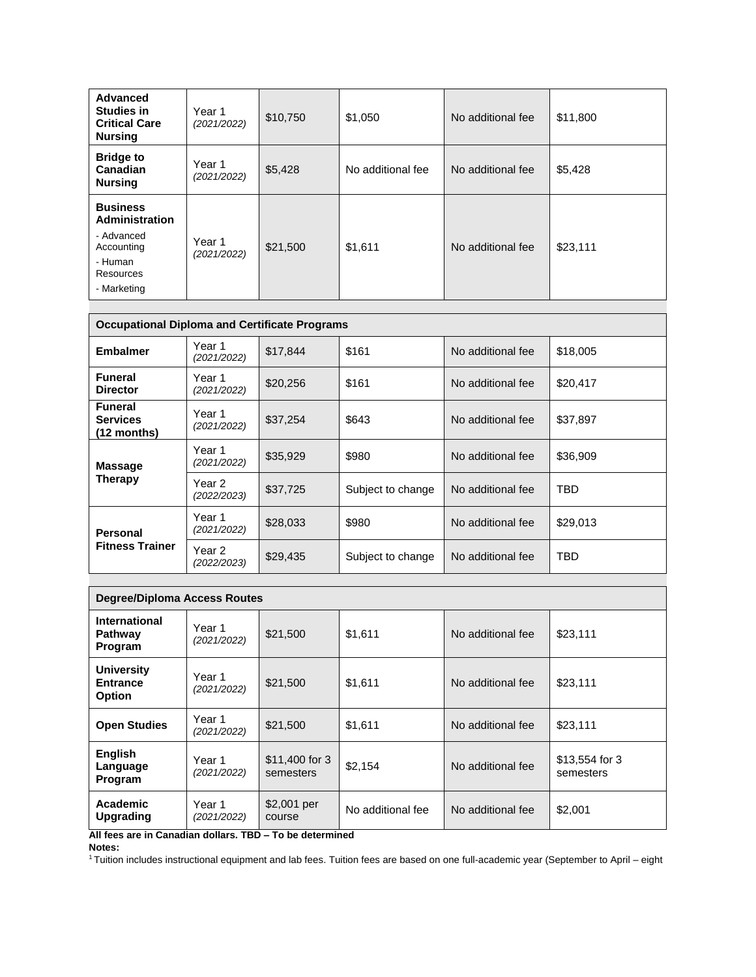| Advanced<br><b>Studies in</b><br><b>Critical Care</b><br><b>Nursing</b>                              | Year 1<br>(2021/2022) | \$10,750 | \$1,050           | No additional fee | \$11,800 |
|------------------------------------------------------------------------------------------------------|-----------------------|----------|-------------------|-------------------|----------|
| <b>Bridge to</b><br>Canadian<br><b>Nursing</b>                                                       | Year 1<br>(2021/2022) | \$5,428  | No additional fee | No additional fee | \$5,428  |
| <b>Business</b><br>Administration<br>- Advanced<br>Accounting<br>- Human<br>Resources<br>- Marketing | Year 1<br>(2021/2022) | \$21,500 | \$1,611           | No additional fee | \$23,111 |

| <b>Occupational Diploma and Certificate Programs</b> |                       |          |                   |                   |          |  |
|------------------------------------------------------|-----------------------|----------|-------------------|-------------------|----------|--|
| <b>Embalmer</b>                                      | Year 1<br>(2021/2022) | \$17,844 | \$161             | No additional fee | \$18,005 |  |
| <b>Funeral</b><br><b>Director</b>                    | Year 1<br>(2021/2022) | \$20,256 | \$161             | No additional fee | \$20,417 |  |
| <b>Funeral</b><br><b>Services</b><br>$(12$ months)   | Year 1<br>(2021/2022) | \$37,254 | \$643             | No additional fee | \$37,897 |  |
| <b>Massage</b><br><b>Therapy</b>                     | Year 1<br>(2021/2022) | \$35,929 | \$980             | No additional fee | \$36,909 |  |
|                                                      | Year 2<br>(2022/2023) | \$37,725 | Subject to change | No additional fee | TBD      |  |
| Personal<br><b>Fitness Trainer</b>                   | Year 1<br>(2021/2022) | \$28,033 | \$980             | No additional fee | \$29,013 |  |
|                                                      | Year 2<br>(2022/2023) | \$29,435 | Subject to change | No additional fee | TBD      |  |

| <b>Degree/Diploma Access Routes</b>                   |                       |                             |                   |                   |                             |  |
|-------------------------------------------------------|-----------------------|-----------------------------|-------------------|-------------------|-----------------------------|--|
| International<br>Pathway<br>Program                   | Year 1<br>(2021/2022) | \$21,500                    | \$1.611           | No additional fee | \$23,111                    |  |
| <b>University</b><br><b>Entrance</b><br><b>Option</b> | Year 1<br>(2021/2022) | \$21,500                    | \$1,611           | No additional fee | \$23.111                    |  |
| <b>Open Studies</b>                                   | Year 1<br>(2021/2022) | \$21,500                    | \$1,611           | No additional fee | \$23,111                    |  |
| English<br>Language<br>Program                        | Year 1<br>(2021/2022) | \$11,400 for 3<br>semesters | \$2,154           | No additional fee | \$13,554 for 3<br>semesters |  |
| Academic<br><b>Upgrading</b>                          | Year 1<br>(2021/2022) | \$2,001 per<br>course       | No additional fee | No additional fee | \$2,001                     |  |

**All fees are in Canadian dollars. TBD – To be determined Notes:**

<sup>1</sup>Tuition includes instructional equipment and lab fees. Tuition fees are based on one full-academic year (September to April – eight